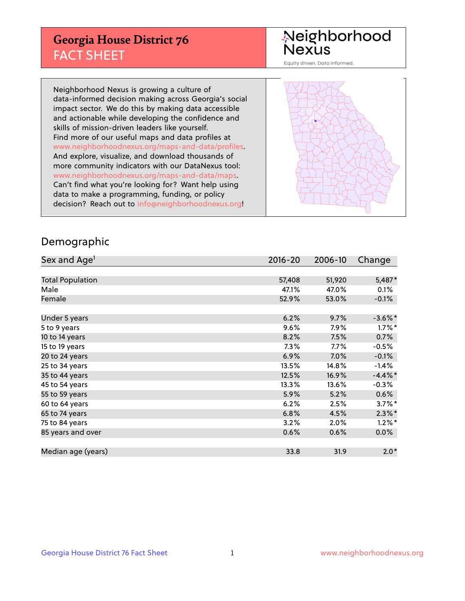## **Georgia House District 76** FACT SHEET

# Neighborhood<br>Nexus

Equity driven. Data informed.

Neighborhood Nexus is growing a culture of data-informed decision making across Georgia's social impact sector. We do this by making data accessible and actionable while developing the confidence and skills of mission-driven leaders like yourself. Find more of our useful maps and data profiles at www.neighborhoodnexus.org/maps-and-data/profiles. And explore, visualize, and download thousands of more community indicators with our DataNexus tool: www.neighborhoodnexus.org/maps-and-data/maps. Can't find what you're looking for? Want help using data to make a programming, funding, or policy decision? Reach out to [info@neighborhoodnexus.org!](mailto:info@neighborhoodnexus.org)



### Demographic

| Sex and Age <sup>1</sup> | $2016 - 20$ | 2006-10 | Change               |
|--------------------------|-------------|---------|----------------------|
|                          |             |         |                      |
| <b>Total Population</b>  | 57,408      | 51,920  | 5,487*               |
| Male                     | 47.1%       | 47.0%   | 0.1%                 |
| Female                   | 52.9%       | 53.0%   | $-0.1\%$             |
|                          |             |         |                      |
| Under 5 years            | 6.2%        | 9.7%    | $-3.6\%$ *           |
| 5 to 9 years             | 9.6%        | 7.9%    | $1.7\%$ *            |
| 10 to 14 years           | 8.2%        | 7.5%    | 0.7%                 |
| 15 to 19 years           | 7.3%        | $7.7\%$ | $-0.5%$              |
| 20 to 24 years           | 6.9%        | 7.0%    | $-0.1%$              |
| 25 to 34 years           | 13.5%       | 14.8%   | $-1.4%$              |
| 35 to 44 years           | 12.5%       | 16.9%   | $-4.4\%$ *           |
| 45 to 54 years           | 13.3%       | 13.6%   | $-0.3%$              |
| 55 to 59 years           | 5.9%        | 5.2%    | 0.6%                 |
| 60 to 64 years           | 6.2%        | 2.5%    | $3.7\%$ <sup>*</sup> |
| 65 to 74 years           | 6.8%        | 4.5%    | $2.3\%$ *            |
| 75 to 84 years           | 3.2%        | 2.0%    | $1.2\%$ *            |
| 85 years and over        | 0.6%        | 0.6%    | 0.0%                 |
|                          |             |         |                      |
| Median age (years)       | 33.8        | 31.9    | $2.0*$               |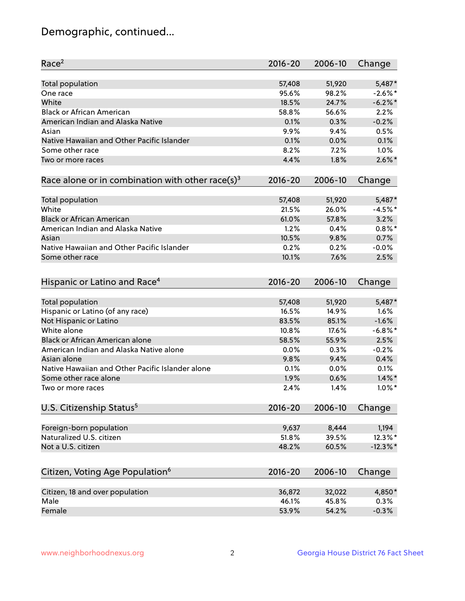## Demographic, continued...

| Race <sup>2</sup>                                            | $2016 - 20$ | 2006-10 | Change      |
|--------------------------------------------------------------|-------------|---------|-------------|
| <b>Total population</b>                                      | 57,408      | 51,920  | 5,487*      |
| One race                                                     | 95.6%       | 98.2%   | $-2.6\%$ *  |
| White                                                        | 18.5%       | 24.7%   | $-6.2\%$ *  |
| <b>Black or African American</b>                             | 58.8%       | 56.6%   | 2.2%        |
| American Indian and Alaska Native                            | 0.1%        | 0.3%    | $-0.2%$     |
| Asian                                                        | 9.9%        | 9.4%    | 0.5%        |
| Native Hawaiian and Other Pacific Islander                   | 0.1%        | 0.0%    | 0.1%        |
| Some other race                                              | 8.2%        | 7.2%    | 1.0%        |
| Two or more races                                            | 4.4%        | 1.8%    | $2.6\%$ *   |
| Race alone or in combination with other race(s) <sup>3</sup> | $2016 - 20$ | 2006-10 | Change      |
| Total population                                             | 57,408      | 51,920  | 5,487*      |
| White                                                        | 21.5%       | 26.0%   | $-4.5%$ *   |
| <b>Black or African American</b>                             | 61.0%       | 57.8%   | 3.2%        |
| American Indian and Alaska Native                            | 1.2%        | 0.4%    | $0.8\%$ *   |
| Asian                                                        | 10.5%       | 9.8%    | 0.7%        |
| Native Hawaiian and Other Pacific Islander                   | 0.2%        | 0.2%    | $-0.0%$     |
| Some other race                                              | 10.1%       | 7.6%    | 2.5%        |
| Hispanic or Latino and Race <sup>4</sup>                     | $2016 - 20$ | 2006-10 | Change      |
| <b>Total population</b>                                      | 57,408      | 51,920  | 5,487*      |
| Hispanic or Latino (of any race)                             | 16.5%       | 14.9%   | 1.6%        |
| Not Hispanic or Latino                                       | 83.5%       | 85.1%   | $-1.6%$     |
| White alone                                                  | 10.8%       | 17.6%   | $-6.8\%$ *  |
| <b>Black or African American alone</b>                       | 58.5%       | 55.9%   | 2.5%        |
| American Indian and Alaska Native alone                      | 0.0%        | 0.3%    | $-0.2%$     |
| Asian alone                                                  | 9.8%        | 9.4%    | 0.4%        |
| Native Hawaiian and Other Pacific Islander alone             | 0.1%        | 0.0%    | 0.1%        |
| Some other race alone                                        | 1.9%        | 0.6%    | $1.4\%$ *   |
| Two or more races                                            | 2.4%        | 1.4%    | $1.0\%$ *   |
| U.S. Citizenship Status <sup>5</sup>                         | $2016 - 20$ | 2006-10 | Change      |
| Foreign-born population                                      | 9,637       | 8,444   | 1,194       |
| Naturalized U.S. citizen                                     | 51.8%       | 39.5%   | 12.3%*      |
| Not a U.S. citizen                                           | 48.2%       | 60.5%   | $-12.3\%$ * |
|                                                              |             |         |             |
| Citizen, Voting Age Population <sup>6</sup>                  | $2016 - 20$ | 2006-10 | Change      |
| Citizen, 18 and over population                              | 36,872      | 32,022  | 4,850*      |
| Male                                                         | 46.1%       | 45.8%   | 0.3%        |
| Female                                                       | 53.9%       | 54.2%   | $-0.3%$     |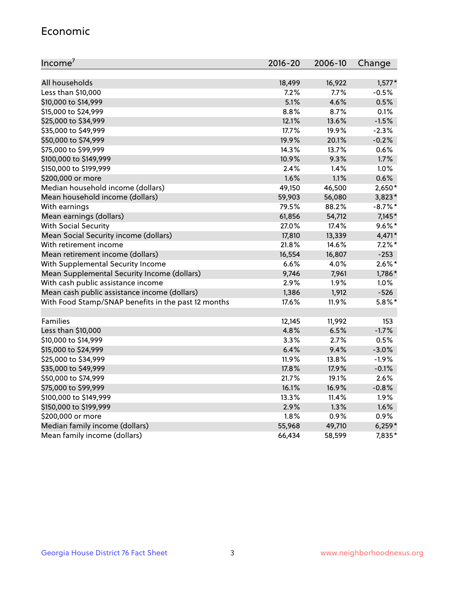#### Economic

| Income <sup>7</sup>                                 | $2016 - 20$ | 2006-10 | Change     |
|-----------------------------------------------------|-------------|---------|------------|
|                                                     |             |         |            |
| All households                                      | 18,499      | 16,922  | $1,577*$   |
| Less than \$10,000                                  | 7.2%        | 7.7%    | $-0.5%$    |
| \$10,000 to \$14,999                                | 5.1%        | 4.6%    | 0.5%       |
| \$15,000 to \$24,999                                | 8.8%        | 8.7%    | 0.1%       |
| \$25,000 to \$34,999                                | 12.1%       | 13.6%   | $-1.5%$    |
| \$35,000 to \$49,999                                | 17.7%       | 19.9%   | $-2.3%$    |
| \$50,000 to \$74,999                                | 19.9%       | 20.1%   | $-0.2%$    |
| \$75,000 to \$99,999                                | 14.3%       | 13.7%   | 0.6%       |
| \$100,000 to \$149,999                              | 10.9%       | 9.3%    | 1.7%       |
| \$150,000 to \$199,999                              | 2.4%        | 1.4%    | 1.0%       |
| \$200,000 or more                                   | 1.6%        | 1.1%    | 0.6%       |
| Median household income (dollars)                   | 49,150      | 46,500  | $2,650*$   |
| Mean household income (dollars)                     | 59,903      | 56,080  | $3,823*$   |
| With earnings                                       | 79.5%       | 88.2%   | $-8.7\%$ * |
| Mean earnings (dollars)                             | 61,856      | 54,712  | $7,145*$   |
| <b>With Social Security</b>                         | 27.0%       | 17.4%   | $9.6\%$ *  |
| Mean Social Security income (dollars)               | 17,810      | 13,339  | 4,471*     |
| With retirement income                              | 21.8%       | 14.6%   | $7.2\%$ *  |
| Mean retirement income (dollars)                    | 16,554      | 16,807  | $-253$     |
| With Supplemental Security Income                   | 6.6%        | 4.0%    | $2.6\%$ *  |
| Mean Supplemental Security Income (dollars)         | 9,746       | 7,961   | 1,786*     |
| With cash public assistance income                  | 2.9%        | 1.9%    | 1.0%       |
| Mean cash public assistance income (dollars)        | 1,386       | 1,912   | $-526$     |
| With Food Stamp/SNAP benefits in the past 12 months | 17.6%       | 11.9%   | $5.8\%$ *  |
|                                                     |             |         |            |
| Families                                            | 12,145      | 11,992  | 153        |
| Less than \$10,000                                  | 4.8%        | 6.5%    | $-1.7%$    |
| \$10,000 to \$14,999                                | 3.3%        | 2.7%    | 0.5%       |
| \$15,000 to \$24,999                                | 6.4%        | 9.4%    | $-3.0%$    |
| \$25,000 to \$34,999                                | 11.9%       | 13.8%   | $-1.9%$    |
| \$35,000 to \$49,999                                | 17.8%       | 17.9%   | $-0.1%$    |
| \$50,000 to \$74,999                                | 21.7%       | 19.1%   | 2.6%       |
| \$75,000 to \$99,999                                | 16.1%       | 16.9%   | $-0.8%$    |
| \$100,000 to \$149,999                              | 13.3%       | 11.4%   | 1.9%       |
| \$150,000 to \$199,999                              | 2.9%        | 1.3%    | 1.6%       |
| \$200,000 or more                                   | 1.8%        | 0.9%    | 0.9%       |
| Median family income (dollars)                      | 55,968      | 49,710  | $6,259*$   |
| Mean family income (dollars)                        | 66,434      | 58,599  | 7,835*     |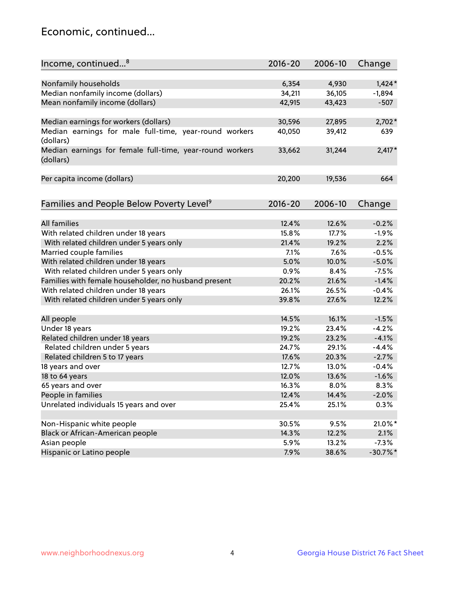## Economic, continued...

| Income, continued <sup>8</sup>                                        | $2016 - 20$    | 2006-10 | Change     |
|-----------------------------------------------------------------------|----------------|---------|------------|
|                                                                       |                |         |            |
| Nonfamily households                                                  | 6,354          | 4,930   | $1,424*$   |
| Median nonfamily income (dollars)                                     | 34,211         | 36,105  | $-1,894$   |
| Mean nonfamily income (dollars)                                       | 42,915         | 43,423  | $-507$     |
| Median earnings for workers (dollars)                                 | 30,596         | 27,895  | $2,702*$   |
| Median earnings for male full-time, year-round workers                | 40,050         | 39,412  | 639        |
| (dollars)                                                             |                |         |            |
| Median earnings for female full-time, year-round workers<br>(dollars) | 33,662         | 31,244  | $2,417*$   |
| Per capita income (dollars)                                           | 20,200         | 19,536  | 664        |
|                                                                       |                |         |            |
| Families and People Below Poverty Level <sup>9</sup>                  | $2016 - 20$    | 2006-10 | Change     |
| <b>All families</b>                                                   |                |         |            |
|                                                                       | 12.4%<br>15.8% | 12.6%   | $-0.2%$    |
| With related children under 18 years                                  |                | 17.7%   | $-1.9%$    |
| With related children under 5 years only                              | 21.4%          | 19.2%   | 2.2%       |
| Married couple families                                               | 7.1%           | 7.6%    | $-0.5%$    |
| With related children under 18 years                                  | 5.0%           | 10.0%   | $-5.0%$    |
| With related children under 5 years only                              | 0.9%           | 8.4%    | $-7.5%$    |
| Families with female householder, no husband present                  | 20.2%          | 21.6%   | $-1.4%$    |
| With related children under 18 years                                  | 26.1%          | 26.5%   | $-0.4%$    |
| With related children under 5 years only                              | 39.8%          | 27.6%   | 12.2%      |
| All people                                                            | 14.5%          | 16.1%   | $-1.5%$    |
| Under 18 years                                                        | 19.2%          | 23.4%   | $-4.2%$    |
| Related children under 18 years                                       | 19.2%          | 23.2%   | $-4.1%$    |
| Related children under 5 years                                        | 24.7%          | 29.1%   | $-4.4%$    |
| Related children 5 to 17 years                                        | 17.6%          | 20.3%   | $-2.7%$    |
| 18 years and over                                                     | 12.7%          | 13.0%   | $-0.4%$    |
| 18 to 64 years                                                        | 12.0%          | 13.6%   | $-1.6%$    |
| 65 years and over                                                     | 16.3%          | 8.0%    | 8.3%       |
| People in families                                                    | 12.4%          | 14.4%   | $-2.0%$    |
| Unrelated individuals 15 years and over                               | 25.4%          | 25.1%   | 0.3%       |
|                                                                       |                |         |            |
| Non-Hispanic white people                                             | 30.5%          | 9.5%    | 21.0%*     |
| Black or African-American people                                      | 14.3%          | 12.2%   | 2.1%       |
| Asian people                                                          | 5.9%           | 13.2%   | $-7.3%$    |
| Hispanic or Latino people                                             | 7.9%           | 38.6%   | $-30.7%$ * |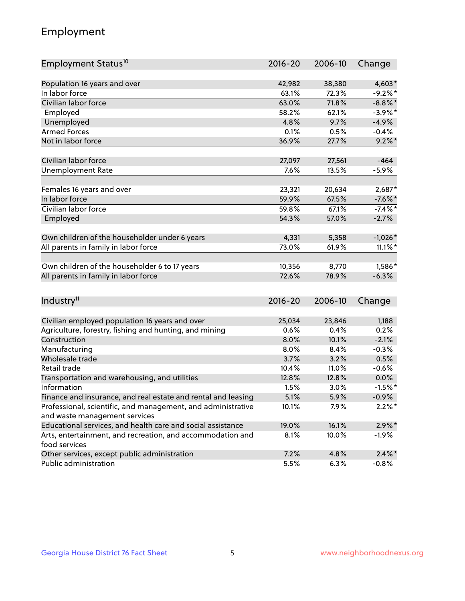## Employment

| Employment Status <sup>10</sup>                                                               | $2016 - 20$ | 2006-10 | Change     |
|-----------------------------------------------------------------------------------------------|-------------|---------|------------|
|                                                                                               |             |         |            |
| Population 16 years and over                                                                  | 42,982      | 38,380  | 4,603*     |
| In labor force                                                                                | 63.1%       | 72.3%   | $-9.2%$ *  |
| Civilian labor force                                                                          | 63.0%       | 71.8%   | $-8.8\%$ * |
| Employed                                                                                      | 58.2%       | 62.1%   | $-3.9\%$ * |
| Unemployed                                                                                    | 4.8%        | 9.7%    | $-4.9%$    |
| <b>Armed Forces</b>                                                                           | 0.1%        | 0.5%    | $-0.4%$    |
| Not in labor force                                                                            | 36.9%       | 27.7%   | $9.2\%$ *  |
| Civilian labor force                                                                          | 27,097      | 27,561  | $-464$     |
| <b>Unemployment Rate</b>                                                                      | 7.6%        | 13.5%   | $-5.9\%$   |
|                                                                                               |             |         |            |
| Females 16 years and over                                                                     | 23,321      | 20,634  | 2,687*     |
| In labor force                                                                                | 59.9%       | 67.5%   | $-7.6\%$ * |
| Civilian labor force                                                                          | 59.8%       | 67.1%   | $-7.4\%$ * |
| Employed                                                                                      | 54.3%       | 57.0%   | $-2.7%$    |
| Own children of the householder under 6 years                                                 | 4,331       | 5,358   | $-1,026*$  |
|                                                                                               | 73.0%       | 61.9%   | $11.1\%$ * |
| All parents in family in labor force                                                          |             |         |            |
| Own children of the householder 6 to 17 years                                                 | 10,356      | 8,770   | 1,586*     |
| All parents in family in labor force                                                          | 72.6%       | 78.9%   | $-6.3%$    |
|                                                                                               |             |         |            |
| Industry <sup>11</sup>                                                                        | $2016 - 20$ | 2006-10 | Change     |
|                                                                                               |             |         |            |
| Civilian employed population 16 years and over                                                | 25,034      | 23,846  | 1,188      |
| Agriculture, forestry, fishing and hunting, and mining                                        | 0.6%        | 0.4%    | 0.2%       |
| Construction                                                                                  | 8.0%        | 10.1%   | $-2.1%$    |
| Manufacturing                                                                                 | 8.0%        | 8.4%    | $-0.3%$    |
| Wholesale trade                                                                               | 3.7%        | 3.2%    | 0.5%       |
| Retail trade                                                                                  | 10.4%       | 11.0%   | $-0.6%$    |
| Transportation and warehousing, and utilities                                                 | 12.8%       | 12.8%   | 0.0%       |
| Information                                                                                   | 1.5%        | 3.0%    | $-1.5%$ *  |
| Finance and insurance, and real estate and rental and leasing                                 | 5.1%        | 5.9%    | $-0.9\%$   |
| Professional, scientific, and management, and administrative<br>and waste management services | 10.1%       | 7.9%    | $2.2\%$ *  |
| Educational services, and health care and social assistance                                   | 19.0%       | 16.1%   | $2.9\%$ *  |
| Arts, entertainment, and recreation, and accommodation and                                    | 8.1%        | 10.0%   | $-1.9\%$   |
| food services                                                                                 |             |         |            |
| Other services, except public administration                                                  | 7.2%        | 4.8%    | $2.4\%$ *  |
| Public administration                                                                         | 5.5%        | 6.3%    | $-0.8%$    |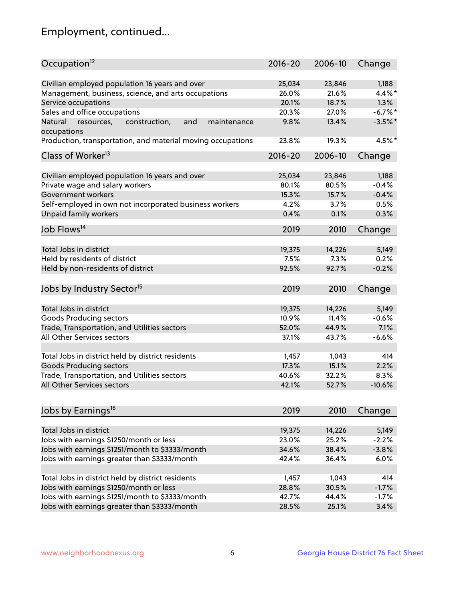## Employment, continued...

| Occupation <sup>12</sup>                                     | $2016 - 20$ | 2006-10 | Change    |
|--------------------------------------------------------------|-------------|---------|-----------|
| Civilian employed population 16 years and over               | 25,034      | 23,846  | 1,188     |
| Management, business, science, and arts occupations          | 26.0%       | 21.6%   | 4.4%*     |
| Service occupations                                          | 20.1%       | 18.7%   | 1.3%      |
| Sales and office occupations                                 | 20.3%       | 27.0%   | $-6.7%$ * |
| Natural<br>and<br>resources,<br>construction,<br>maintenance | 9.8%        | 13.4%   | $-3.5%$ * |
| occupations                                                  |             |         |           |
| Production, transportation, and material moving occupations  | 23.8%       | 19.3%   | 4.5%*     |
| Class of Worker <sup>13</sup>                                | $2016 - 20$ | 2006-10 | Change    |
|                                                              |             |         |           |
| Civilian employed population 16 years and over               | 25,034      | 23,846  | 1,188     |
| Private wage and salary workers                              | 80.1%       | 80.5%   | $-0.4%$   |
| Government workers                                           | 15.3%       | 15.7%   | $-0.4%$   |
| Self-employed in own not incorporated business workers       | 4.2%        | 3.7%    | 0.5%      |
| Unpaid family workers                                        | 0.4%        | 0.1%    | 0.3%      |
| Job Flows <sup>14</sup>                                      | 2019        | 2010    | Change    |
| Total Jobs in district                                       | 19,375      | 14,226  | 5,149     |
|                                                              |             |         | 0.2%      |
| Held by residents of district                                | 7.5%        | 7.3%    |           |
| Held by non-residents of district                            | 92.5%       | 92.7%   | $-0.2%$   |
| Jobs by Industry Sector <sup>15</sup>                        | 2019        | 2010    | Change    |
| Total Jobs in district                                       | 19,375      | 14,226  | 5,149     |
| Goods Producing sectors                                      | 10.9%       | 11.4%   | $-0.6%$   |
| Trade, Transportation, and Utilities sectors                 | 52.0%       | 44.9%   | 7.1%      |
| All Other Services sectors                                   | 37.1%       | 43.7%   | $-6.6%$   |
|                                                              |             |         |           |
| Total Jobs in district held by district residents            | 1,457       | 1,043   | 414       |
| <b>Goods Producing sectors</b>                               | 17.3%       | 15.1%   | 2.2%      |
| Trade, Transportation, and Utilities sectors                 | 40.6%       | 32.2%   | 8.3%      |
| All Other Services sectors                                   | 42.1%       | 52.7%   | $-10.6%$  |
|                                                              |             |         |           |
| Jobs by Earnings <sup>16</sup>                               | 2019        | 2010    | Change    |
| Total Jobs in district                                       | 19,375      | 14,226  | 5,149     |
| Jobs with earnings \$1250/month or less                      | 23.0%       | 25.2%   | $-2.2%$   |
| Jobs with earnings \$1251/month to \$3333/month              | 34.6%       | 38.4%   | $-3.8%$   |
| Jobs with earnings greater than \$3333/month                 | 42.4%       | 36.4%   | 6.0%      |
|                                                              |             |         |           |
| Total Jobs in district held by district residents            | 1,457       | 1,043   | 414       |
| Jobs with earnings \$1250/month or less                      | 28.8%       | 30.5%   | $-1.7%$   |
| Jobs with earnings \$1251/month to \$3333/month              | 42.7%       | 44.4%   | $-1.7%$   |
| Jobs with earnings greater than \$3333/month                 | 28.5%       | 25.1%   | 3.4%      |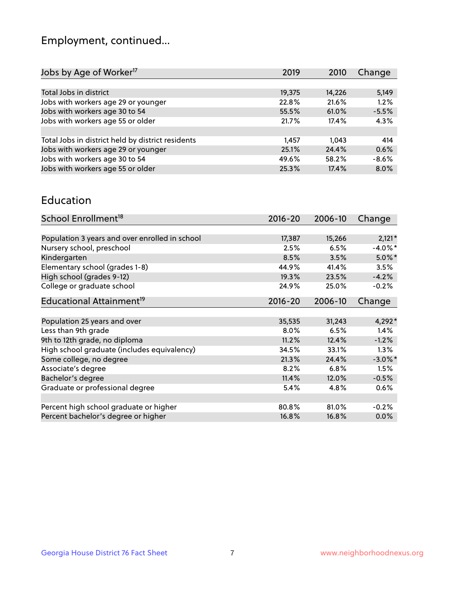## Employment, continued...

| 2019   | 2010   | Change  |
|--------|--------|---------|
|        |        |         |
| 19,375 | 14,226 | 5,149   |
| 22.8%  | 21.6%  | 1.2%    |
| 55.5%  | 61.0%  | $-5.5%$ |
| 21.7%  | 17.4%  | 4.3%    |
|        |        |         |
| 1,457  | 1.043  | 414     |
| 25.1%  | 24.4%  | 0.6%    |
| 49.6%  | 58.2%  | $-8.6%$ |
| 25.3%  | 17.4%  | 8.0%    |
|        |        |         |

#### Education

| School Enrollment <sup>18</sup>                | $2016 - 20$ | 2006-10 | Change     |
|------------------------------------------------|-------------|---------|------------|
|                                                |             |         |            |
| Population 3 years and over enrolled in school | 17,387      | 15,266  | $2,121*$   |
| Nursery school, preschool                      | 2.5%        | 6.5%    | $-4.0\%$ * |
| Kindergarten                                   | 8.5%        | 3.5%    | $5.0\%$ *  |
| Elementary school (grades 1-8)                 | 44.9%       | 41.4%   | 3.5%       |
| High school (grades 9-12)                      | 19.3%       | 23.5%   | $-4.2%$    |
| College or graduate school                     | 24.9%       | 25.0%   | $-0.2%$    |
| Educational Attainment <sup>19</sup>           | $2016 - 20$ | 2006-10 | Change     |
|                                                |             |         |            |
| Population 25 years and over                   | 35,535      | 31,243  | $4,292*$   |
| Less than 9th grade                            | 8.0%        | 6.5%    | 1.4%       |
| 9th to 12th grade, no diploma                  | 11.2%       | 12.4%   | $-1.2%$    |
| High school graduate (includes equivalency)    | 34.5%       | 33.1%   | $1.3\%$    |
| Some college, no degree                        | 21.3%       | 24.4%   | $-3.0\%$ * |
| Associate's degree                             | 8.2%        | 6.8%    | 1.5%       |
| Bachelor's degree                              | 11.4%       | 12.0%   | $-0.5%$    |
| Graduate or professional degree                | 5.4%        | 4.8%    | 0.6%       |
|                                                |             |         |            |
| Percent high school graduate or higher         | 80.8%       | 81.0%   | $-0.2%$    |
| Percent bachelor's degree or higher            | 16.8%       | 16.8%   | $0.0\%$    |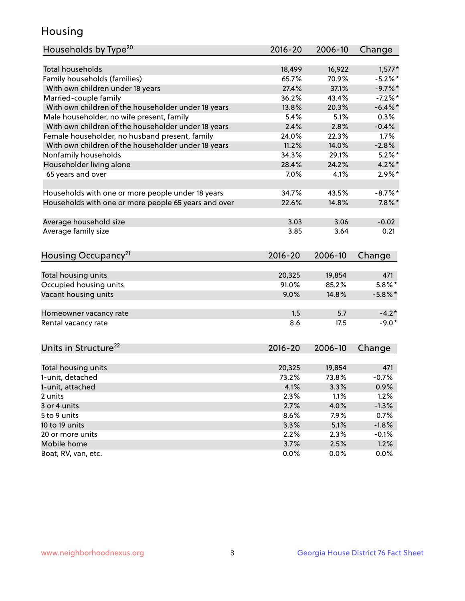## Housing

| Households by Type <sup>20</sup>                     | 2016-20         | 2006-10         | Change         |
|------------------------------------------------------|-----------------|-----------------|----------------|
|                                                      |                 |                 |                |
| <b>Total households</b>                              | 18,499          | 16,922          | $1,577*$       |
| Family households (families)                         | 65.7%           | 70.9%           | $-5.2%$        |
| With own children under 18 years                     | 27.4%           | 37.1%           | $-9.7%$ *      |
| Married-couple family                                | 36.2%           | 43.4%           | $-7.2%$ *      |
| With own children of the householder under 18 years  | 13.8%           | 20.3%           | $-6.4\%$ *     |
| Male householder, no wife present, family            | 5.4%            | 5.1%            | 0.3%           |
| With own children of the householder under 18 years  | 2.4%            | 2.8%            | $-0.4%$        |
| Female householder, no husband present, family       | 24.0%           | 22.3%           | $1.7\%$        |
| With own children of the householder under 18 years  | 11.2%           | 14.0%           | $-2.8%$        |
| Nonfamily households                                 | 34.3%           | 29.1%           | $5.2\%$ *      |
| Householder living alone                             | 28.4%           | 24.2%           | $4.2\%$ *      |
| 65 years and over                                    | 7.0%            | 4.1%            | $2.9\%$ *      |
|                                                      |                 |                 |                |
| Households with one or more people under 18 years    | 34.7%           | 43.5%           | $-8.7\%$ *     |
| Households with one or more people 65 years and over | 22.6%           | 14.8%           | $7.8\%$ *      |
| Average household size                               | 3.03            | 3.06            | $-0.02$        |
| Average family size                                  | 3.85            | 3.64            | 0.21           |
| Housing Occupancy <sup>21</sup>                      | $2016 - 20$     | 2006-10         | Change         |
|                                                      |                 |                 |                |
| Total housing units                                  | 20,325          | 19,854          | 471            |
| Occupied housing units                               | 91.0%           | 85.2%           | $5.8\%$ *      |
| Vacant housing units                                 | 9.0%            | 14.8%           | $-5.8\%$ *     |
|                                                      |                 |                 |                |
| Homeowner vacancy rate                               | 1.5             | 5.7             | $-4.2*$        |
| Rental vacancy rate                                  | 8.6             | 17.5            | $-9.0*$        |
| Units in Structure <sup>22</sup>                     | $2016 - 20$     | 2006-10         | Change         |
|                                                      |                 |                 |                |
| Total housing units<br>1-unit, detached              | 20,325<br>73.2% | 19,854<br>73.8% | 471<br>$-0.7%$ |
|                                                      |                 |                 |                |
| 1-unit, attached                                     | 4.1%            | 3.3%            | 0.9%           |
| 2 units                                              | 2.3%            | 1.1%            | 1.2%           |
| 3 or 4 units                                         | 2.7%            | 4.0%            | $-1.3%$        |
| 5 to 9 units                                         | 8.6%            | 7.9%            | 0.7%           |
| 10 to 19 units                                       | 3.3%            | 5.1%            | $-1.8%$        |
| 20 or more units                                     | 2.2%            | 2.3%            | $-0.1%$        |
| Mobile home                                          | 3.7%            | 2.5%            | 1.2%           |
| Boat, RV, van, etc.                                  | 0.0%            | 0.0%            | 0.0%           |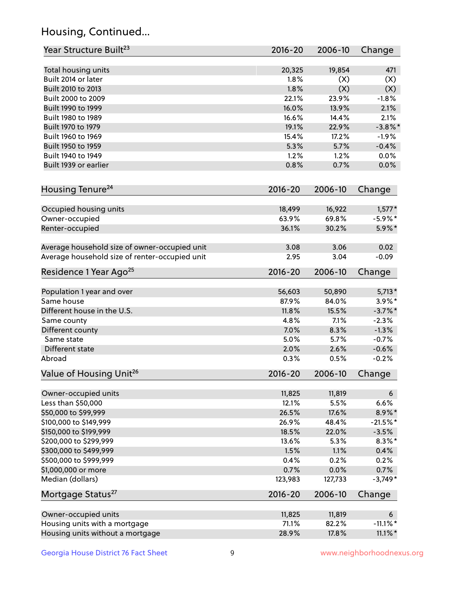## Housing, Continued...

| Year Structure Built <sup>23</sup>             | 2016-20     | 2006-10 | Change          |
|------------------------------------------------|-------------|---------|-----------------|
| Total housing units                            | 20,325      | 19,854  | 471             |
| Built 2014 or later                            | 1.8%        | (X)     | (X)             |
| Built 2010 to 2013                             | 1.8%        | (X)     | (X)             |
| Built 2000 to 2009                             | 22.1%       | 23.9%   | $-1.8%$         |
| Built 1990 to 1999                             | 16.0%       | 13.9%   | 2.1%            |
| Built 1980 to 1989                             | 16.6%       | 14.4%   | 2.1%            |
| Built 1970 to 1979                             | 19.1%       | 22.9%   | $-3.8\%$ *      |
| Built 1960 to 1969                             | 15.4%       | 17.2%   | $-1.9%$         |
| Built 1950 to 1959                             | 5.3%        | 5.7%    | $-0.4%$         |
| Built 1940 to 1949                             | 1.2%        | 1.2%    | 0.0%            |
| Built 1939 or earlier                          | 0.8%        | 0.7%    | 0.0%            |
| Housing Tenure <sup>24</sup>                   | $2016 - 20$ | 2006-10 | Change          |
| Occupied housing units                         | 18,499      | 16,922  | $1,577*$        |
| Owner-occupied                                 | 63.9%       | 69.8%   | $-5.9\%$ *      |
| Renter-occupied                                | 36.1%       | 30.2%   | 5.9%*           |
|                                                |             |         |                 |
| Average household size of owner-occupied unit  | 3.08        | 3.06    | 0.02            |
| Average household size of renter-occupied unit | 2.95        | 3.04    | $-0.09$         |
| Residence 1 Year Ago <sup>25</sup>             | 2016-20     | 2006-10 | Change          |
| Population 1 year and over                     | 56,603      | 50,890  | $5,713*$        |
| Same house                                     | 87.9%       | 84.0%   | $3.9\%$ *       |
| Different house in the U.S.                    | 11.8%       | 15.5%   | $-3.7\%$ *      |
| Same county                                    | 4.8%        | 7.1%    | $-2.3%$         |
| Different county                               | 7.0%        | 8.3%    | $-1.3%$         |
| Same state                                     | 5.0%        | 5.7%    | $-0.7%$         |
| Different state                                | 2.0%        | 2.6%    | $-0.6%$         |
| Abroad                                         | 0.3%        | 0.5%    | $-0.2%$         |
| Value of Housing Unit <sup>26</sup>            | $2016 - 20$ | 2006-10 | Change          |
|                                                |             |         |                 |
| Owner-occupied units                           | 11,825      | 11,819  | $6\overline{6}$ |
| Less than \$50,000                             | 12.1%       | 5.5%    | 6.6%            |
| \$50,000 to \$99,999                           | 26.5%       | 17.6%   | $8.9\%*$        |
| \$100,000 to \$149,999                         | 26.9%       | 48.4%   | $-21.5%$ *      |
| \$150,000 to \$199,999                         | 18.5%       | 22.0%   | $-3.5%$         |
| \$200,000 to \$299,999                         | 13.6%       | 5.3%    | $8.3\%$ *       |
| \$300,000 to \$499,999                         | 1.5%        | 1.1%    | 0.4%            |
| \$500,000 to \$999,999                         | 0.4%        | 0.2%    | 0.2%            |
| \$1,000,000 or more                            | 0.7%        | 0.0%    | 0.7%            |
| Median (dollars)                               | 123,983     | 127,733 | $-3,749*$       |
| Mortgage Status <sup>27</sup>                  | $2016 - 20$ | 2006-10 | Change          |
| Owner-occupied units                           | 11,825      | 11,819  | $6\overline{6}$ |
| Housing units with a mortgage                  | 71.1%       | 82.2%   | $-11.1\%$ *     |
| Housing units without a mortgage               | 28.9%       | 17.8%   | $11.1\%$ *      |
|                                                |             |         |                 |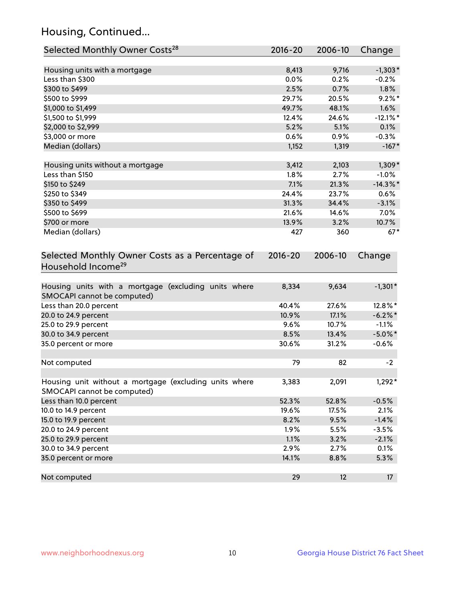## Housing, Continued...

| Selected Monthly Owner Costs <sup>28</sup>                                            | 2016-20     | 2006-10 | Change      |
|---------------------------------------------------------------------------------------|-------------|---------|-------------|
| Housing units with a mortgage                                                         | 8,413       | 9,716   | $-1,303*$   |
| Less than \$300                                                                       | 0.0%        | 0.2%    | $-0.2%$     |
| \$300 to \$499                                                                        | 2.5%        | 0.7%    | 1.8%        |
| \$500 to \$999                                                                        | 29.7%       | 20.5%   | $9.2\%$ *   |
| \$1,000 to \$1,499                                                                    | 49.7%       | 48.1%   | 1.6%        |
| \$1,500 to \$1,999                                                                    | 12.4%       | 24.6%   | $-12.1\%$ * |
| \$2,000 to \$2,999                                                                    | 5.2%        | 5.1%    | 0.1%        |
| \$3,000 or more                                                                       | $0.6\%$     | 0.9%    | $-0.3%$     |
| Median (dollars)                                                                      | 1,152       | 1,319   | $-167*$     |
| Housing units without a mortgage                                                      | 3,412       | 2,103   | $1,309*$    |
| Less than \$150                                                                       | 1.8%        | 2.7%    | $-1.0%$     |
| \$150 to \$249                                                                        | 7.1%        | 21.3%   | $-14.3\%$ * |
| \$250 to \$349                                                                        | 24.4%       | 23.7%   | 0.6%        |
| \$350 to \$499                                                                        | 31.3%       | 34.4%   | $-3.1%$     |
| \$500 to \$699                                                                        | 21.6%       | 14.6%   | $7.0\%$     |
| \$700 or more                                                                         | 13.9%       | 3.2%    | 10.7%       |
| Median (dollars)                                                                      | 427         | 360     | $67*$       |
| Selected Monthly Owner Costs as a Percentage of<br>Household Income <sup>29</sup>     | $2016 - 20$ | 2006-10 | Change      |
| Housing units with a mortgage (excluding units where<br>SMOCAPI cannot be computed)   | 8,334       | 9,634   | $-1,301*$   |
| Less than 20.0 percent                                                                | 40.4%       | 27.6%   | 12.8%*      |
| 20.0 to 24.9 percent                                                                  | 10.9%       | 17.1%   | $-6.2\%$ *  |
| 25.0 to 29.9 percent                                                                  | 9.6%        | 10.7%   | $-1.1%$     |
| 30.0 to 34.9 percent                                                                  | 8.5%        | 13.4%   | $-5.0\%$ *  |
| 35.0 percent or more                                                                  | 30.6%       | 31.2%   | $-0.6%$     |
| Not computed                                                                          | 79          | 82      | $-2$        |
| Housing unit without a mortgage (excluding units where<br>SMOCAPI cannot be computed) | 3,383       | 2,091   | $1,292*$    |
| Less than 10.0 percent                                                                | 52.3%       | 52.8%   | $-0.5%$     |
| 10.0 to 14.9 percent                                                                  | 19.6%       | 17.5%   | 2.1%        |
| 15.0 to 19.9 percent                                                                  | 8.2%        | 9.5%    | $-1.4%$     |
| 20.0 to 24.9 percent                                                                  | 1.9%        | 5.5%    | $-3.5%$     |
| 25.0 to 29.9 percent                                                                  | 1.1%        | 3.2%    | $-2.1%$     |
| 30.0 to 34.9 percent                                                                  | 2.9%        | 2.7%    | 0.1%        |
| 35.0 percent or more                                                                  | 14.1%       | 8.8%    | 5.3%        |
| Not computed                                                                          | 29          | 12      | 17          |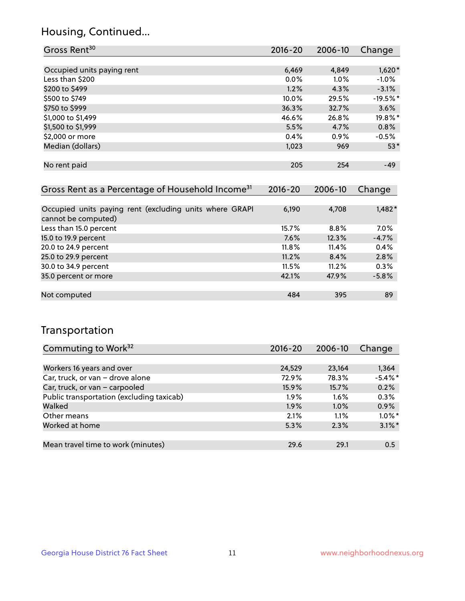## Housing, Continued...

| 2016-20 | 2006-10 | Change     |
|---------|---------|------------|
|         |         |            |
| 6,469   | 4,849   | $1,620*$   |
| 0.0%    | $1.0\%$ | $-1.0%$    |
| 1.2%    | 4.3%    | $-3.1%$    |
| 10.0%   | 29.5%   | $-19.5%$ * |
| 36.3%   | 32.7%   | 3.6%       |
| 46.6%   | 26.8%   | 19.8%*     |
| 5.5%    | 4.7%    | 0.8%       |
| 0.4%    | 0.9%    | $-0.5%$    |
| 1,023   | 969     | $53*$      |
|         |         |            |
| 205     | 254     | $-49$      |
|         |         |            |

| Gross Rent as a Percentage of Household Income <sup>31</sup>                   | $2016 - 20$ | 2006-10 | Change   |
|--------------------------------------------------------------------------------|-------------|---------|----------|
|                                                                                |             |         |          |
| Occupied units paying rent (excluding units where GRAPI<br>cannot be computed) | 6,190       | 4,708   | $1,482*$ |
| Less than 15.0 percent                                                         | 15.7%       | 8.8%    | $7.0\%$  |
| 15.0 to 19.9 percent                                                           | 7.6%        | 12.3%   | $-4.7%$  |
| 20.0 to 24.9 percent                                                           | $11.8\%$    | 11.4%   | 0.4%     |
| 25.0 to 29.9 percent                                                           | 11.2%       | 8.4%    | 2.8%     |
| 30.0 to 34.9 percent                                                           | 11.5%       | 11.2%   | 0.3%     |
| 35.0 percent or more                                                           | 42.1%       | 47.9%   | $-5.8%$  |
|                                                                                |             |         |          |
| Not computed                                                                   | 484         | 395     | 89       |

## Transportation

| Commuting to Work <sup>32</sup>           | 2016-20 | 2006-10 | Change        |
|-------------------------------------------|---------|---------|---------------|
|                                           |         |         |               |
| Workers 16 years and over                 | 24,529  | 23.164  | 1,364         |
| Car, truck, or van - drove alone          | 72.9%   | 78.3%   | $-5.4\%$ *    |
| Car, truck, or van - carpooled            | 15.9%   | 15.7%   | 0.2%          |
| Public transportation (excluding taxicab) | $1.9\%$ | $1.6\%$ | 0.3%          |
| Walked                                    | 1.9%    | 1.0%    | 0.9%          |
| Other means                               | 2.1%    | $1.1\%$ | $1.0\%$ *     |
| Worked at home                            | 5.3%    | 2.3%    | $3.1\%$ *     |
|                                           |         |         |               |
| Mean travel time to work (minutes)        | 29.6    | 29.1    | $0.5^{\circ}$ |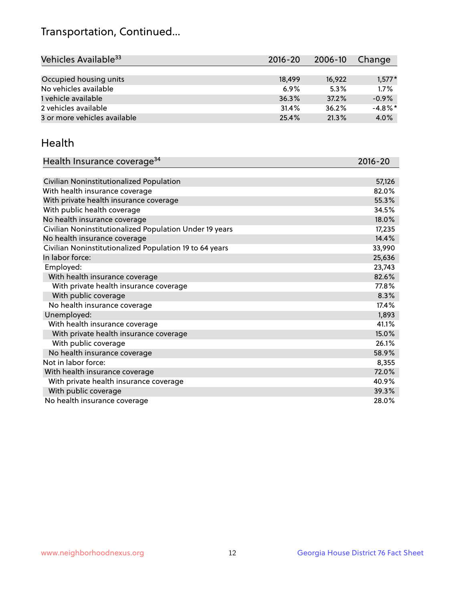## Transportation, Continued...

| Vehicles Available <sup>33</sup> | $2016 - 20$ | 2006-10 | Change     |
|----------------------------------|-------------|---------|------------|
|                                  |             |         |            |
| Occupied housing units           | 18,499      | 16,922  | $1,577*$   |
| No vehicles available            | 6.9%        | 5.3%    | 1.7%       |
| 1 vehicle available              | 36.3%       | 37.2%   | $-0.9%$    |
| 2 vehicles available             | 31.4%       | 36.2%   | $-4.8\%$ * |
| 3 or more vehicles available     | 25.4%       | 21.3%   | 4.0%       |

#### Health

| Health Insurance coverage <sup>34</sup>                 | 2016-20 |
|---------------------------------------------------------|---------|
|                                                         |         |
| Civilian Noninstitutionalized Population                | 57,126  |
| With health insurance coverage                          | 82.0%   |
| With private health insurance coverage                  | 55.3%   |
| With public health coverage                             | 34.5%   |
| No health insurance coverage                            | 18.0%   |
| Civilian Noninstitutionalized Population Under 19 years | 17,235  |
| No health insurance coverage                            | 14.4%   |
| Civilian Noninstitutionalized Population 19 to 64 years | 33,990  |
| In labor force:                                         | 25,636  |
| Employed:                                               | 23,743  |
| With health insurance coverage                          | 82.6%   |
| With private health insurance coverage                  | 77.8%   |
| With public coverage                                    | 8.3%    |
| No health insurance coverage                            | 17.4%   |
| Unemployed:                                             | 1,893   |
| With health insurance coverage                          | 41.1%   |
| With private health insurance coverage                  | 15.0%   |
| With public coverage                                    | 26.1%   |
| No health insurance coverage                            | 58.9%   |
| Not in labor force:                                     | 8,355   |
| With health insurance coverage                          | 72.0%   |
| With private health insurance coverage                  | 40.9%   |
| With public coverage                                    | 39.3%   |
| No health insurance coverage                            | 28.0%   |